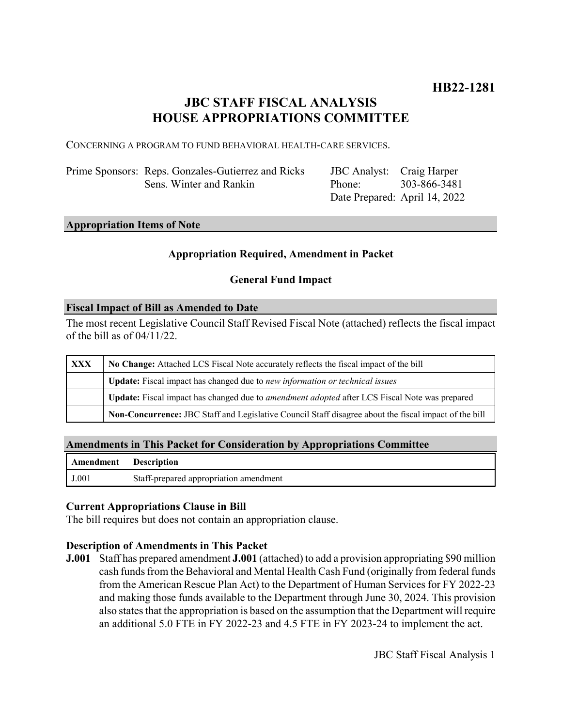# **JBC STAFF FISCAL ANALYSIS HOUSE APPROPRIATIONS COMMITTEE**

CONCERNING A PROGRAM TO FUND BEHAVIORAL HEALTH-CARE SERVICES.

Prime Sponsors: Reps. Gonzales-Gutierrez and Ricks Sens. Winter and Rankin

JBC Analyst: Craig Harper Phone: Date Prepared: April 14, 2022 303-866-3481

#### **Appropriation Items of Note**

### **Appropriation Required, Amendment in Packet**

## **General Fund Impact**

#### **Fiscal Impact of Bill as Amended to Date**

The most recent Legislative Council Staff Revised Fiscal Note (attached) reflects the fiscal impact of the bill as of 04/11/22.

| <b>XXX</b> | No Change: Attached LCS Fiscal Note accurately reflects the fiscal impact of the bill                       |
|------------|-------------------------------------------------------------------------------------------------------------|
|            | <b>Update:</b> Fiscal impact has changed due to new information or technical issues                         |
|            | <b>Update:</b> Fiscal impact has changed due to <i>amendment adopted</i> after LCS Fiscal Note was prepared |
|            | Non-Concurrence: JBC Staff and Legislative Council Staff disagree about the fiscal impact of the bill       |

### **Amendments in This Packet for Consideration by Appropriations Committee**

| <b>Amendment</b> Description |                                        |
|------------------------------|----------------------------------------|
| J.001                        | Staff-prepared appropriation amendment |

### **Current Appropriations Clause in Bill**

The bill requires but does not contain an appropriation clause.

### **Description of Amendments in This Packet**

**J.001** Staff has prepared amendment **J.001** (attached) to add a provision appropriating \$90 million cash funds from the Behavioral and Mental Health Cash Fund (originally from federal funds from the American Rescue Plan Act) to the Department of Human Services for FY 2022-23 and making those funds available to the Department through June 30, 2024. This provision also states that the appropriation is based on the assumption that the Department will require an additional 5.0 FTE in FY 2022-23 and 4.5 FTE in FY 2023-24 to implement the act.